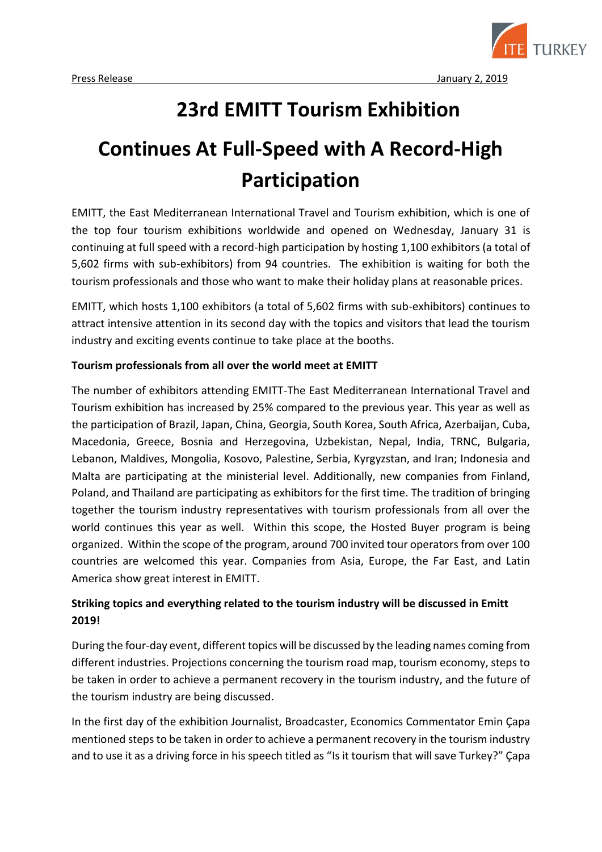

# **23rd EMITT Tourism Exhibition**

# **Continues At Full-Speed with A Record-High Participation**

EMITT, the East Mediterranean International Travel and Tourism exhibition, which is one of the top four tourism exhibitions worldwide and opened on Wednesday, January 31 is continuing at full speed with a record-high participation by hosting 1,100 exhibitors (a total of 5,602 firms with sub-exhibitors) from 94 countries. The exhibition is waiting for both the tourism professionals and those who want to make their holiday plans at reasonable prices.

EMITT, which hosts 1,100 exhibitors (a total of 5,602 firms with sub-exhibitors) continues to attract intensive attention in its second day with the topics and visitors that lead the tourism industry and exciting events continue to take place at the booths.

### **Tourism professionals from all over the world meet at EMITT**

The number of exhibitors attending EMITT-The East Mediterranean International Travel and Tourism exhibition has increased by 25% compared to the previous year. This year as well as the participation of Brazil, Japan, China, Georgia, South Korea, South Africa, Azerbaijan, Cuba, Macedonia, Greece, Bosnia and Herzegovina, Uzbekistan, Nepal, India, TRNC, Bulgaria, Lebanon, Maldives, Mongolia, Kosovo, Palestine, Serbia, Kyrgyzstan, and Iran; Indonesia and Malta are participating at the ministerial level. Additionally, new companies from Finland, Poland, and Thailand are participating as exhibitors for the first time. The tradition of bringing together the tourism industry representatives with tourism professionals from all over the world continues this year as well. Within this scope, the Hosted Buyer program is being organized. Within the scope of the program, around 700 invited tour operators from over 100 countries are welcomed this year. Companies from Asia, Europe, the Far East, and Latin America show great interest in EMITT.

# **Striking topics and everything related to the tourism industry will be discussed in Emitt 2019!**

During the four-day event, different topics will be discussed by the leading names coming from different industries. Projections concerning the tourism road map, tourism economy, steps to be taken in order to achieve a permanent recovery in the tourism industry, and the future of the tourism industry are being discussed.

In the first day of the exhibition Journalist, Broadcaster, Economics Commentator Emin Çapa mentioned steps to be taken in order to achieve a permanent recovery in the tourism industry and to use it as a driving force in his speech titled as "Is it tourism that will save Turkey?" Çapa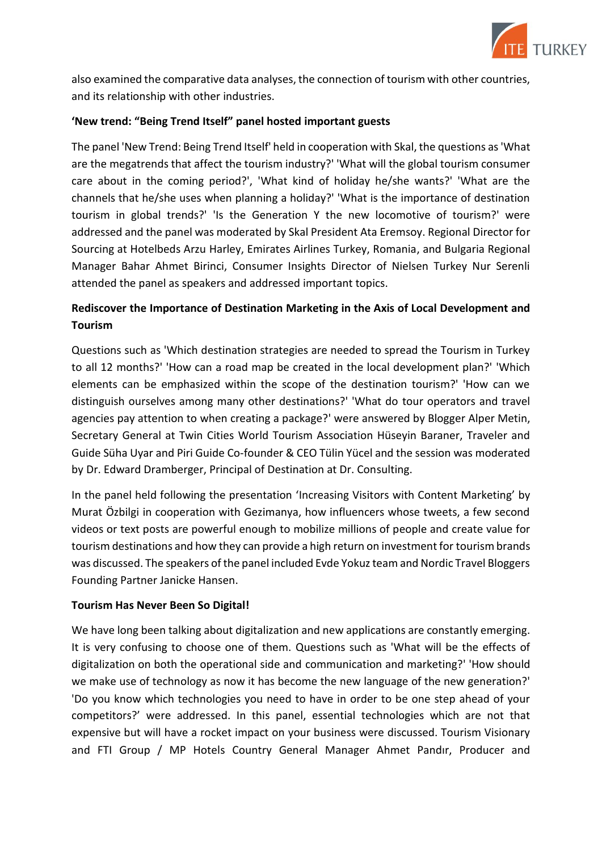

also examined the comparative data analyses, the connection of tourism with other countries, and its relationship with other industries.

#### **'New trend: "Being Trend Itself" panel hosted important guests**

The panel 'New Trend: Being Trend Itself' held in cooperation with Skal, the questions as 'What are the megatrends that affect the tourism industry?' 'What will the global tourism consumer care about in the coming period?', 'What kind of holiday he/she wants?' 'What are the channels that he/she uses when planning a holiday?' 'What is the importance of destination tourism in global trends?' 'Is the Generation Y the new locomotive of tourism?' were addressed and the panel was moderated by Skal President Ata Eremsoy. Regional Director for Sourcing at Hotelbeds Arzu Harley, Emirates Airlines Turkey, Romania, and Bulgaria Regional Manager Bahar Ahmet Birinci, Consumer Insights Director of Nielsen Turkey Nur Serenli attended the panel as speakers and addressed important topics.

## **Rediscover the Importance of Destination Marketing in the Axis of Local Development and Tourism**

Questions such as 'Which destination strategies are needed to spread the Tourism in Turkey to all 12 months?' 'How can a road map be created in the local development plan?' 'Which elements can be emphasized within the scope of the destination tourism?' 'How can we distinguish ourselves among many other destinations?' 'What do tour operators and travel agencies pay attention to when creating a package?' were answered by Blogger Alper Metin, Secretary General at Twin Cities World Tourism Association Hüseyin Baraner, Traveler and Guide Süha Uyar and Piri Guide Co-founder & CEO Tülin Yücel and the session was moderated by Dr. Edward Dramberger, Principal of Destination at Dr. Consulting.

In the panel held following the presentation 'Increasing Visitors with Content Marketing' by Murat Özbilgi in cooperation with Gezimanya, how influencers whose tweets, a few second videos or text posts are powerful enough to mobilize millions of people and create value for tourism destinations and how they can provide a high return on investment for tourism brands was discussed. The speakers of the panel included Evde Yokuz team and Nordic Travel Bloggers Founding Partner Janicke Hansen.

#### **Tourism Has Never Been So Digital!**

We have long been talking about digitalization and new applications are constantly emerging. It is very confusing to choose one of them. Questions such as 'What will be the effects of digitalization on both the operational side and communication and marketing?' 'How should we make use of technology as now it has become the new language of the new generation?' 'Do you know which technologies you need to have in order to be one step ahead of your competitors?' were addressed. In this panel, essential technologies which are not that expensive but will have a rocket impact on your business were discussed. Tourism Visionary and FTI Group / MP Hotels Country General Manager Ahmet Pandır, Producer and